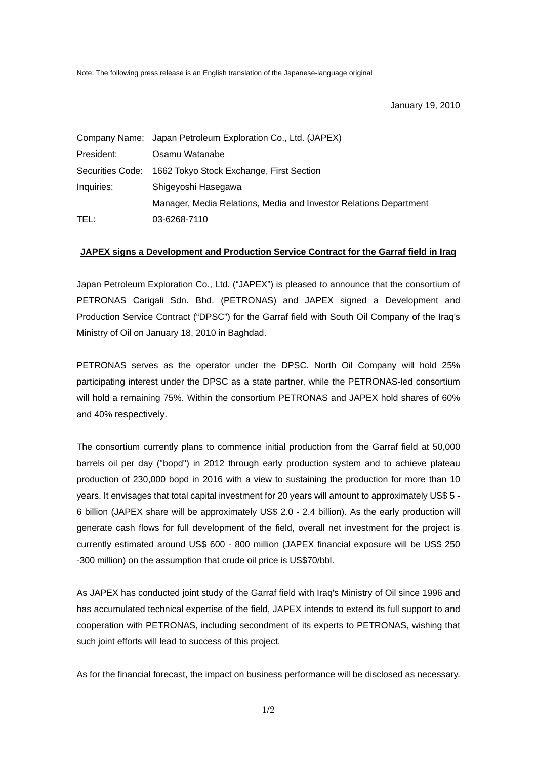Note: The following press release is an English translation of the Japanese-language original

January 19, 2010

|            | Company Name: Japan Petroleum Exploration Co., Ltd. (JAPEX)       |  |  |
|------------|-------------------------------------------------------------------|--|--|
| President: | Osamu Watanabe                                                    |  |  |
|            | Securities Code: 1662 Tokyo Stock Exchange, First Section         |  |  |
| Inquiries: | Shigeyoshi Hasegawa                                               |  |  |
|            | Manager, Media Relations, Media and Investor Relations Department |  |  |
| TEL:       | 03-6268-7110                                                      |  |  |

## **JAPEX signs a Development and Production Service Contract for the Garraf field in Iraq**

Japan Petroleum Exploration Co., Ltd. ("JAPEX") is pleased to announce that the consortium of PETRONAS Carigali Sdn. Bhd. (PETRONAS) and JAPEX signed a Development and Production Service Contract ("DPSC") for the Garraf field with South Oil Company of the Iraq's Ministry of Oil on January 18, 2010 in Baghdad.

PETRONAS serves as the operator under the DPSC. North Oil Company will hold 25% participating interest under the DPSC as a state partner, while the PETRONAS-led consortium will hold a remaining 75%. Within the consortium PETRONAS and JAPEX hold shares of 60% and 40% respectively.

The consortium currently plans to commence initial production from the Garraf field at 50,000 barrels oil per day ("bopd") in 2012 through early production system and to achieve plateau production of 230,000 bopd in 2016 with a view to sustaining the production for more than 10 years. It envisages that total capital investment for 20 years will amount to approximately US\$ 5 - 6 billion (JAPEX share will be approximately US\$ 2.0 - 2.4 billion). As the early production will generate cash flows for full development of the field, overall net investment for the project is currently estimated around US\$ 600 - 800 million (JAPEX financial exposure will be US\$ 250 -300 million) on the assumption that crude oil price is US\$70/bbl.

As JAPEX has conducted joint study of the Garraf field with Iraq's Ministry of Oil since 1996 and has accumulated technical expertise of the field, JAPEX intends to extend its full support to and cooperation with PETRONAS, including secondment of its experts to PETRONAS, wishing that such joint efforts will lead to success of this project.

As for the financial forecast, the impact on business performance will be disclosed as necessary.